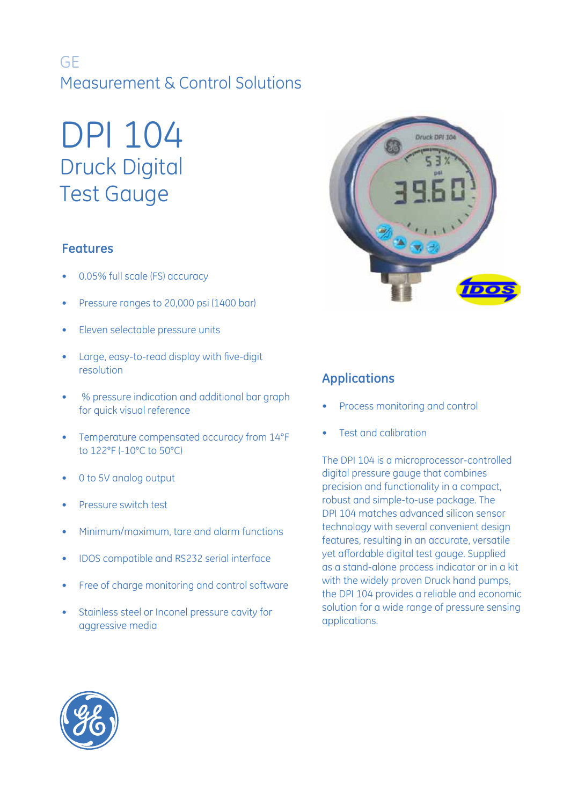## GE Measurement & Control Solutions

# DPI 104 Druck Digital Test Gauge

## **Features**

- 0.05% full scale (FS) accuracy
- Pressure ranges to 20,000 psi (1400 bar)
- Eleven selectable pressure units
- Large, easy-to-read display with five-digit resolution
- % pressure indication and additional bar graph for quick visual reference
- Temperature compensated accuracy from 14°F to 122°F (-10°C to 50°C)
- 0 to 5V analog output
- Pressure switch test
- Minimum/maximum, tare and alarm functions
- IDOS compatible and RS232 serial interface
- Free of charge monitoring and control software
- Stainless steel or Inconel pressure cavity for aggressive media



## **Applications**

- Process monitoring and control
- Test and calibration

The DPI 104 is a microprocessor-controlled digital pressure gauge that combines precision and functionality in a compact, robust and simple-to-use package. The DPI 104 matches advanced silicon sensor technology with several convenient design features, resulting in an accurate, versatile yet affordable digital test gauge. Supplied as a stand-alone process indicator or in a kit with the widely proven Druck hand pumps, the DPI 104 provides a reliable and economic solution for a wide range of pressure sensing applications.

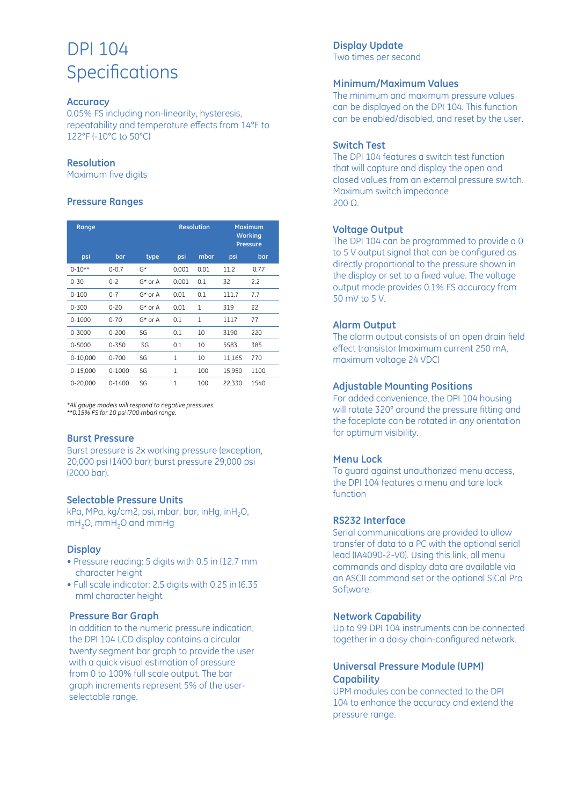## DPI 104 **Specifications**

#### **Accuracy**

0.05% FS including non-linearity, hysteresis, repeatability and temperature effects from 14°F to 122°F (-10°C to 50°C)

#### **Resolution**

Maximum five digits

#### **Pressure Ranges**

| Range        |            |            | <b>Resolution</b> |              | <b>Maximum</b><br><b>Working</b><br><b>Pressure</b> |      |
|--------------|------------|------------|-------------------|--------------|-----------------------------------------------------|------|
| psi          | bar        | type       | psi               | mbar         | psi                                                 | bar  |
| $0 - 10**$   | $0 - 0.7$  | G*         | 0.001             | 0.01         | 11.2                                                | 0.77 |
| $0 - 30$     | $0 - 2$    | $G^*$ or A | 0.001             | 0.1          | 32                                                  | 2.2  |
| $0 - 100$    | $0 - 7$    | $G^*$ or A | 0.01              | 0.1          | 111.7                                               | 7.7  |
| $0 - 300$    | $0 - 20$   | $G^*$ or A | 0.01              | 1            | 319                                                 | 22   |
| $0 - 1000$   | $0 - 70$   | $G^*$ or A | 0.1               | $\mathbf{1}$ | 1117                                                | 77   |
| 0-3000       | $0 - 200$  | SG         | 0.1               | 10           | 3190                                                | 220  |
| 0-5000       | $0 - 350$  | SG         | 0.1               | 10           | 5583                                                | 385  |
| $0 - 10,000$ | $0 - 700$  | SG         | 1                 | 10           | 11,165                                              | 770  |
| $0 - 15,000$ | $0 - 1000$ | SG         | 1                 | 100          | 15,950                                              | 1100 |
| 0-20,000     | $0 - 1400$ | SG         | 1                 | 100          | 22,330                                              | 1540 |

*\*All gauge models will respond to negative pressures. \*\*0.15% FS for 10 psi (700 mbar) range.*

#### **Burst Pressure**

Burst pressure is 2x working pressure (exception, 20,000 psi (1400 bar); burst pressure 29,000 psi (2000 bar).

#### **Selectable Pressure Units**

kPa, MPa, kg/cm2, psi, mbar, bar, inHg, inH2O, mH<sub>2</sub>O, mmH<sub>2</sub>O and mmHg

#### **Display**

- Pressure reading: 5 digits with 0.5 in (12.7 mm character height
- Full scale indicator: 2.5 digits with 0.25 in (6.35 mm) character height

#### **Pressure Bar Graph**

In addition to the numeric pressure indication, the DPI 104 LCD display contains a circular twenty segment bar graph to provide the user with a quick visual estimation of pressure from 0 to 100% full scale output. The bar graph increments represent 5% of the userselectable range.

#### **Display Update**

Two times per second

#### **Minimum/Maximum Values**

The minimum and maximum pressure values can be displayed on the DPI 104. This function can be enabled/disabled, and reset by the user.

#### **Switch Test**

The DPI 104 features a switch test function that will capture and display the open and closed values from an external pressure switch. Maximum switch impedance 200 Ω.

#### **Voltage Output**

The DPI 104 can be programmed to provide a 0 to 5 V output signal that can be configured as directly proportional to the pressure shown in the display or set to a fixed value. The voltage output mode provides 0.1% FS accuracy from 50 mV to 5 V.

#### **Alarm Output**

The alarm output consists of an open drain field effect transistor (maximum current 250 mA, maximum voltage 24 VDC)

#### **Adjustable Mounting Positions**

For added convenience, the DPI 104 housing will rotate 320° around the pressure fitting and the faceplate can be rotated in any orientation for optimum visibility.

#### **Menu Lock**

To guard against unauthorized menu access, the DPI 104 features a menu and tare lock function

#### **RS232 Interface**

Serial communications are provided to allow transfer of data to a PC with the optional serial lead (IA4090-2-V0). Using this link, all menu commands and display data are available via an ASCII command set or the optional SiCal Pro Software.

#### **Network Capability**

Up to 99 DPI 104 instruments can be connected together in a daisy chain-configured network.

#### **Universal Pressure Module (UPM) Capability**

UPM modules can be connected to the DPI 104 to enhance the accuracy and extend the pressure range.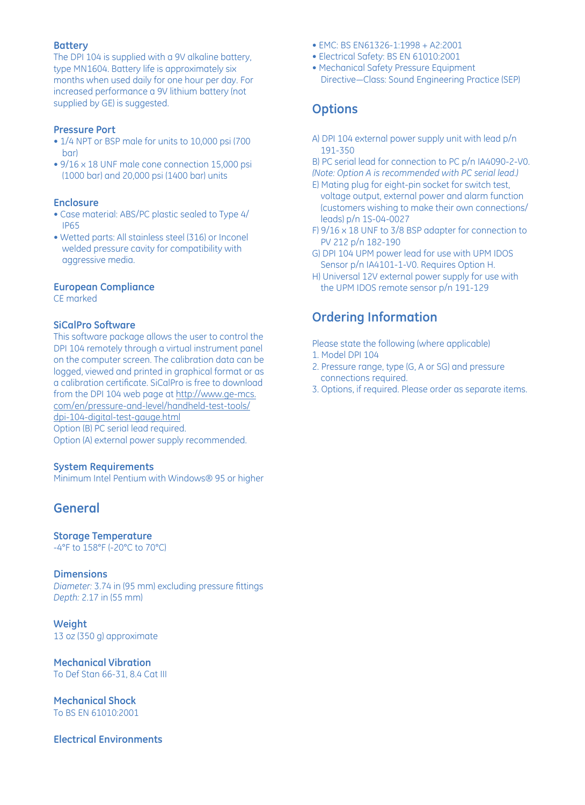#### **Battery**

The DPI 104 is supplied with a 9V alkaline battery, type MN1604. Battery life is approximately six months when used daily for one hour per day. For increased performance a 9V lithium battery (not supplied by GE) is suggested.

#### **Pressure Port**

- 1/4 NPT or BSP male for units to 10,000 psi (700 bar)
- 9/16 x 18 UNF male cone connection 15,000 psi (1000 bar) and 20,000 psi (1400 bar) units

#### **Enclosure**

- Case material: ABS/PC plastic sealed to Type 4/ IP65
- Wetted parts: All stainless steel (316) or Inconel welded pressure cavity for compatibility with aggressive media.

#### **European Compliance**

CE marked

#### **SiCalPro Software**

This software package allows the user to control the DPI 104 remotely through a virtual instrument panel on the computer screen. The calibration data can be logged, viewed and printed in graphical format or as a calibration certificate. SiCalPro is free to download from the DPI 104 web page at http://www.ge-mcs. com/en/pressure-and-level/handheld-test-tools/ dpi-104-digital-test-gauge.html Option (B) PC serial lead required. Option (A) external power supply recommended.

#### **System Requirements**

Minimum Intel Pentium with Windows® 95 or higher

## **General**

#### **Storage Temperature**

-4°F to 158°F (-20°C to 70°C)

#### **Dimensions**

*Diameter:* 3.74 in (95 mm) excluding pressure fittings *Depth:* 2.17 in (55 mm)

**Weight** 13 oz (350 g) approximate

**Mechanical Vibration** To Def Stan 66-31, 8.4 Cat III

**Mechanical Shock** To BS EN 61010:2001

#### **Electrical Environments**

- EMC: BS EN61326-1:1998 + A2:2001
- Electrical Safety: BS EN 61010:2001
- Mechanical Safety Pressure Equipment Directive—Class: Sound Engineering Practice (SEP)

## **Options**

- A) DPI 104 external power supply unit with lead p/n 191-350
- B) PC serial lead for connection to PC p/n IA4090-2-V0. *(Note: Option A is recommended with PC serial lead.)*
- E) Mating plug for eight-pin socket for switch test, voltage output, external power and alarm function (customers wishing to make their own connections/ leads) p/n 1S-04-0027
- F) 9/16 x 18 UNF to 3/8 BSP adapter for connection to PV 212 p/n 182-190
- G) DPI 104 UPM power lead for use with UPM IDOS Sensor p/n IA4101-1-V0. Requires Option H.
- H) Universal 12V external power supply for use with the UPM IDOS remote sensor p/n 191-129

## **Ordering Information**

Please state the following (where applicable)

- 1. Model DPI 104
- 2. Pressure range, type (G, A or SG) and pressure connections required.
- 3. Options, if required. Please order as separate items.